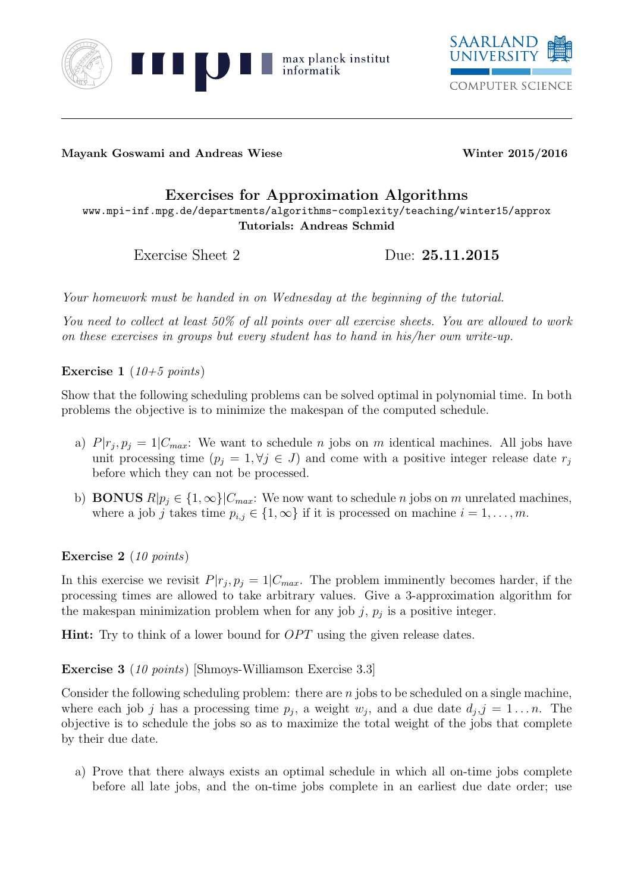



Mayank Goswami and Andreas Wiese Winter 2015/2016

## Exercises for Approximation Algorithms

www.mpi-inf.mpg.de/departments/algorithms-complexity/teaching/winter15/approx Tutorials: Andreas Schmid

Exercise Sheet 2 Due: 25.11.2015

Your homework must be handed in on Wednesday at the beginning of the tutorial.

You need to collect at least 50% of all points over all exercise sheets. You are allowed to work on these exercises in groups but every student has to hand in his/her own write-up.

Exercise 1 (10+5 points)

Show that the following scheduling problems can be solved optimal in polynomial time. In both problems the objective is to minimize the makespan of the computed schedule.

- a)  $P|r_j, p_j = 1|C_{max}$ : We want to schedule *n* jobs on *m* identical machines. All jobs have unit processing time  $(p_i = 1, \forall j \in J)$  and come with a positive integer release date  $r_j$ before which they can not be processed.
- b) **BONUS**  $R|p_i \in \{1,\infty\}|C_{max}$ : We now want to schedule n jobs on m unrelated machines, where a job j takes time  $p_{i,j} \in \{1,\infty\}$  if it is processed on machine  $i = 1, \ldots, m$ .

Exercise 2 (10 points)

In this exercise we revisit  $P|r_j, p_j = 1|C_{max}$ . The problem imminently becomes harder, if the processing times are allowed to take arbitrary values. Give a 3-approximation algorithm for the makespan minimization problem when for any job  $j, p_j$  is a positive integer.

**Hint:** Try to think of a lower bound for  $OPT$  using the given release dates.

Exercise 3 (10 points) [Shmoys-Williamson Exercise 3.3]

Consider the following scheduling problem: there are  $n$  jobs to be scheduled on a single machine, where each job j has a processing time  $p_j$ , a weight  $w_j$ , and a due date  $d_j$ ,  $j = 1...n$ . The objective is to schedule the jobs so as to maximize the total weight of the jobs that complete by their due date.

a) Prove that there always exists an optimal schedule in which all on-time jobs complete before all late jobs, and the on-time jobs complete in an earliest due date order; use